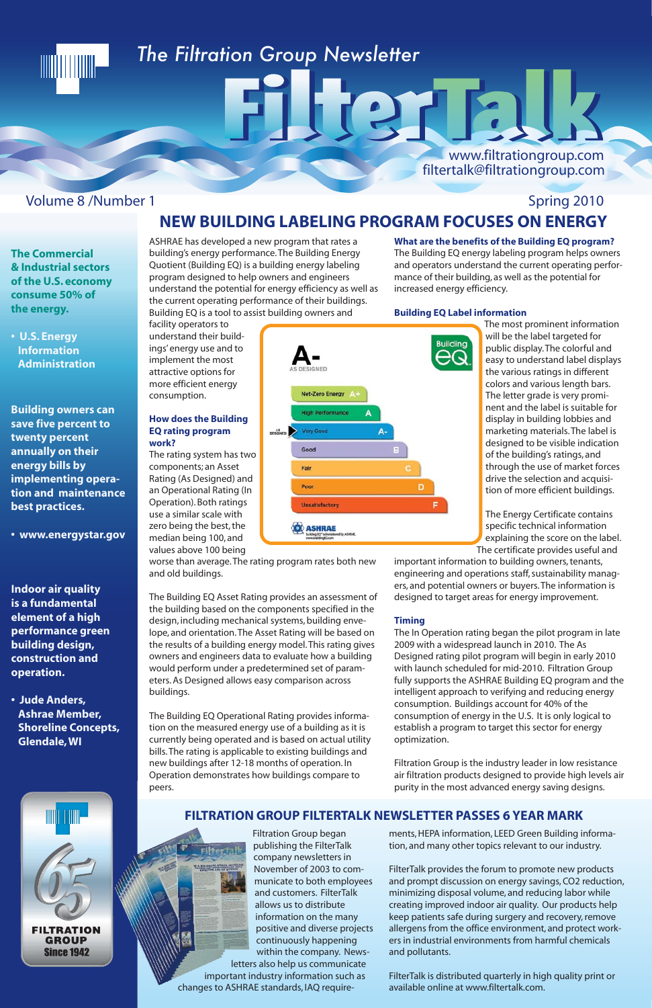## 

### *The Filtration Group Newsletter*

www.filtrationgroup.com filtertalk@filtrationgroup.com

ASHRAE has developed a new program that rates a building's energy performance. The Building Energy Quotient (Building EQ) is a building energy labeling program designed to help owners and engineers understand the potential for energy efficiency as well as the current operating performance of their buildings. Building EQ is a tool to assist building owners and

facility operators to

implement the most attractive options for more efficient energy

consumption.

**EQ rating program** 

**work?**



components; an Asset

values above 100 being worse than average. The rating program rates both new and old buildings.

The Building EQ Asset Rating provides an assessment of the building based on the components specified in the design, including mechanical systems, building envelope, and orientation. The Asset Rating will be based on the results of a building energy model. This rating gives owners and engineers data to evaluate how a building would perform under a predetermined set of parameters. As Designed allows easy comparison across buildings.

The Building EQ Operational Rating provides information on the measured energy use of a building as it is currently being operated and is based on actual utility bills. The rating is applicable to existing buildings and new buildings after 12-18 months of operation. In Operation demonstrates how buildings compare to peers.

**What are the benefits of the Building EQ program?**

### Volume 8 /Number 1 Spring 2010 **NEW BUILDING LABELING PROGRAM FOCUSES ON ENERGY**

TICT E

The Building EQ energy labeling program helps owners and operators understand the current operating performance of their building, as well as the potential for increased energy efficiency.

### **Building EQ Label information**

The most prominent information will be the label targeted for public display. The colorful and easy to understand label displays the various ratings in different colors and various length bars. The letter grade is very prominent and the label is suitable for display in building lobbies and marketing materials. The label is designed to be visible indication of the building's ratings, and through the use of market forces drive the selection and acquisition of more efficient buildings.

The Energy Certificate contains specific technical information explaining the score on the label. The certificate provides useful and

important information to building owners, tenants, engineering and operations staff, sustainability managers, and potential owners or buyers. The information is designed to target areas for energy improvement.

### **Timing**

The In Operation rating began the pilot program in late 2009 with a widespread launch in 2010. The As Designed rating pilot program will begin in early 2010 with launch scheduled for mid-2010. Filtration Group fully supports the ASHRAE Building EQ program and the intelligent approach to verifying and reducing energy consumption. Buildings account for 40% of the consumption of energy in the U.S. It is only logical to establish a program to target this sector for energy optimization.

### **endale, WI**



Filtration Group is the industry leader in low resistance air filtration products designed to provide high levels air purity in the most advanced energy saving designs.

 Filtration Group began publishing the FilterTalk company newsletters in November of 2003 to communicate to both employees and customers. FilterTalk allows us to distribute information on the many positive and diverse projects continuously happening within the company. Newsletters also help us communicate important industry information such as changes to ASHRAE standards, IAQ requirements, HEPA information, LEED Green Building information, and many other topics relevant to our industry.

FilterTalk provides the forum to promote new products and prompt discussion on energy savings, CO2 reduction, minimizing disposal volume, and reducing labor while creating improved indoor air quality. Our products help keep patients safe during surgery and recovery, remove allergens from the office environment, and protect workers in industrial environments from harmful chemicals and pollutants.

FilterTalk is distributed quarterly in high quality print or available online at www.filtertalk.com.

### **FILTRATION GROUP FILTERTALK NEWSLETTER PASSES 6 YEAR MARK**

**The Commercial & Industrial sectors of the U.S. economy consume 50% of the energy.**

**• U.S. Energy Information Administration**

**Building owners can save five percent to twenty percent annually on their energy bills by implementing operation and maintenance best practices.** 

**• www.energystar.gov**

**Indoor air quality is a fundamental element of a high performance green building design, construction and operation.** 

**• Jude Anders, Ashrae Member, Shoreline Concepts,**